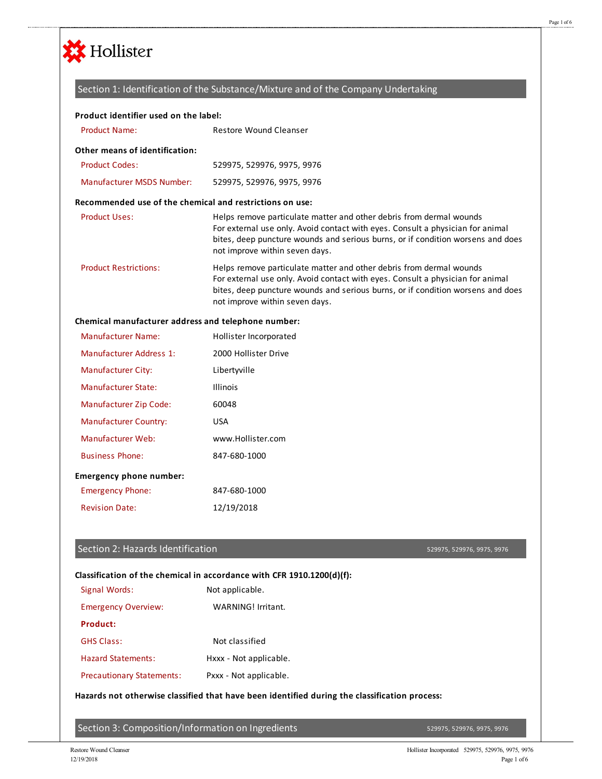

### Section 1: Identification of the Substance/Mixture and of the Company Undertaking

### **Product identifier used on the label:**

| <b>Product Name:</b>                                     | Restore Wound Cleanser                                                                                                                                                                                                                                                     |
|----------------------------------------------------------|----------------------------------------------------------------------------------------------------------------------------------------------------------------------------------------------------------------------------------------------------------------------------|
| Other means of identification:                           |                                                                                                                                                                                                                                                                            |
| <b>Product Codes:</b>                                    | 529975, 529976, 9975, 9976                                                                                                                                                                                                                                                 |
| <b>Manufacturer MSDS Number:</b>                         | 529975, 529976, 9975, 9976                                                                                                                                                                                                                                                 |
| Recommended use of the chemical and restrictions on use: |                                                                                                                                                                                                                                                                            |
| <b>Product Uses:</b>                                     | Helps remove particulate matter and other debris from dermal wounds<br>For external use only. Avoid contact with eyes. Consult a physician for animal<br>bites, deep puncture wounds and serious burns, or if condition worsens and does<br>not improve within seven days. |
| <b>Product Restrictions:</b>                             | Helps remove particulate matter and other debris from dermal wounds<br>For external use only. Avoid contact with eyes. Consult a physician for animal<br>bites, deep puncture wounds and serious burns, or if condition worsens and does<br>not improve within seven days. |
| Chemical manufacturer address and telephone number:      |                                                                                                                                                                                                                                                                            |
| <b>Manufacturer Name:</b>                                | Hollister Incorporated                                                                                                                                                                                                                                                     |
| Manufacturer Address 1:                                  | 2000 Hollister Drive                                                                                                                                                                                                                                                       |

| <b>Manufacturer City:</b>      | Libertyville      |
|--------------------------------|-------------------|
| Manufacturer State:            | <b>Illinois</b>   |
| <b>Manufacturer Zip Code:</b>  | 60048             |
| <b>Manufacturer Country:</b>   | USA               |
| Manufacturer Web:              | www.Hollister.com |
| <b>Business Phone:</b>         | 847-680-1000      |
| <b>Emergency phone number:</b> |                   |
| <b>Emergency Phone:</b>        | 847-680-1000      |
| <b>Revision Date:</b>          | 12/19/2018        |

### Section 2: Hazards Identification

529975, 529976, 9975, 9976

|                                  | Classification of the chemical in accordance with CFR 1910.1200 $(d)$ (f):                    |
|----------------------------------|-----------------------------------------------------------------------------------------------|
| Signal Words:                    | Not applicable.                                                                               |
| <b>Emergency Overview:</b>       | WARNING! Irritant.                                                                            |
| Product:                         |                                                                                               |
| <b>GHS Class:</b>                | Not classified                                                                                |
| <b>Hazard Statements:</b>        | Hxxx - Not applicable.                                                                        |
| <b>Precautionary Statements:</b> | Pxxx - Not applicable.                                                                        |
|                                  | Hazards not otherwise classified that have been identified during the classification process: |
|                                  |                                                                                               |

Section 3: Composition/Information on Ingredients

529975, 529976, 9975, 9976

Page 1 of 6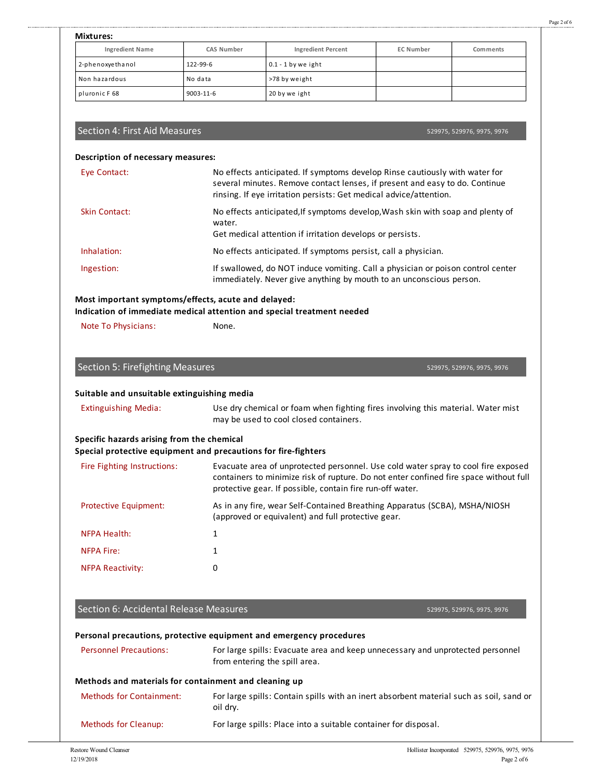| ī | <br><br>۰ |  |
|---|-----------|--|

| <b>Ingredient Name</b><br>2-phenoxyethanol<br>Non hazardous<br>pluronic F68                                                                                                                               | CAS Number   |                                                                                                                                                                                                                                                                     |                  |                            |
|-----------------------------------------------------------------------------------------------------------------------------------------------------------------------------------------------------------|--------------|---------------------------------------------------------------------------------------------------------------------------------------------------------------------------------------------------------------------------------------------------------------------|------------------|----------------------------|
|                                                                                                                                                                                                           |              | <b>Ingredient Percent</b>                                                                                                                                                                                                                                           | <b>EC Number</b> | Comments                   |
|                                                                                                                                                                                                           | 122-99-6     | $0.1 - 1$ by we ight                                                                                                                                                                                                                                                |                  |                            |
|                                                                                                                                                                                                           | No data      | >78 by weight                                                                                                                                                                                                                                                       |                  |                            |
|                                                                                                                                                                                                           | 9003-11-6    | 20 by we ight                                                                                                                                                                                                                                                       |                  |                            |
| Section 4: First Aid Measures                                                                                                                                                                             |              |                                                                                                                                                                                                                                                                     |                  |                            |
|                                                                                                                                                                                                           |              |                                                                                                                                                                                                                                                                     |                  | 529975, 529976, 9975, 9976 |
| Description of necessary measures:                                                                                                                                                                        |              |                                                                                                                                                                                                                                                                     |                  |                            |
| Eye Contact:                                                                                                                                                                                              |              | No effects anticipated. If symptoms develop Rinse cautiously with water for<br>several minutes. Remove contact lenses, if present and easy to do. Continue<br>rinsing. If eye irritation persists: Get medical advice/attention.                                    |                  |                            |
| <b>Skin Contact:</b>                                                                                                                                                                                      | water.       | No effects anticipated, If symptoms develop, Wash skin with soap and plenty of<br>Get medical attention if irritation develops or persists.                                                                                                                         |                  |                            |
| Inhalation:                                                                                                                                                                                               |              | No effects anticipated. If symptoms persist, call a physician.                                                                                                                                                                                                      |                  |                            |
| Ingestion:                                                                                                                                                                                                |              | If swallowed, do NOT induce vomiting. Call a physician or poison control center<br>immediately. Never give anything by mouth to an unconscious person.                                                                                                              |                  |                            |
|                                                                                                                                                                                                           |              |                                                                                                                                                                                                                                                                     |                  |                            |
| Most important symptoms/effects, acute and delayed:<br>Indication of immediate medical attention and special treatment needed                                                                             |              |                                                                                                                                                                                                                                                                     |                  |                            |
| Note To Physicians:                                                                                                                                                                                       | None.        |                                                                                                                                                                                                                                                                     |                  |                            |
|                                                                                                                                                                                                           |              |                                                                                                                                                                                                                                                                     |                  |                            |
| Suitable and unsuitable extinguishing media                                                                                                                                                               |              |                                                                                                                                                                                                                                                                     |                  |                            |
| <b>Extinguishing Media:</b>                                                                                                                                                                               |              | Use dry chemical or foam when fighting fires involving this material. Water mist                                                                                                                                                                                    |                  |                            |
|                                                                                                                                                                                                           |              | may be used to cool closed containers.                                                                                                                                                                                                                              |                  |                            |
|                                                                                                                                                                                                           |              |                                                                                                                                                                                                                                                                     |                  |                            |
|                                                                                                                                                                                                           |              | Fire Fighting Instructions: Evacuate area of unprotected personnel. Use cold water spray to cool fire exposed<br>containers to minimize risk of rupture. Do not enter confined fire space without full<br>protective gear. If possible, contain fire run-off water. |                  |                            |
| Protective Equipment:                                                                                                                                                                                     |              | As in any fire, wear Self-Contained Breathing Apparatus (SCBA), MSHA/NIOSH<br>(approved or equivalent) and full protective gear.                                                                                                                                    |                  |                            |
| <b>NFPA Health:</b>                                                                                                                                                                                       | 1            |                                                                                                                                                                                                                                                                     |                  |                            |
| <b>NFPA Fire:</b>                                                                                                                                                                                         | $\mathbf{1}$ |                                                                                                                                                                                                                                                                     |                  |                            |
| Specific hazards arising from the chemical<br>Special protective equipment and precautions for fire-fighters<br><b>NFPA Reactivity:</b>                                                                   | 0            |                                                                                                                                                                                                                                                                     |                  |                            |
|                                                                                                                                                                                                           |              |                                                                                                                                                                                                                                                                     |                  |                            |
|                                                                                                                                                                                                           |              |                                                                                                                                                                                                                                                                     |                  |                            |
|                                                                                                                                                                                                           |              |                                                                                                                                                                                                                                                                     |                  | 529975, 529976, 9975, 9976 |
|                                                                                                                                                                                                           |              |                                                                                                                                                                                                                                                                     |                  |                            |
| <b>Personnel Precautions:</b>                                                                                                                                                                             |              | For large spills: Evacuate area and keep unnecessary and unprotected personnel<br>from entering the spill area.                                                                                                                                                     |                  |                            |
|                                                                                                                                                                                                           |              |                                                                                                                                                                                                                                                                     |                  |                            |
| Section 6: Accidental Release Measures<br>Personal precautions, protective equipment and emergency procedures<br>Methods and materials for containment and cleaning up<br><b>Methods for Containment:</b> | oil dry.     | For large spills: Contain spills with an inert absorbent material such as soil, sand or                                                                                                                                                                             |                  |                            |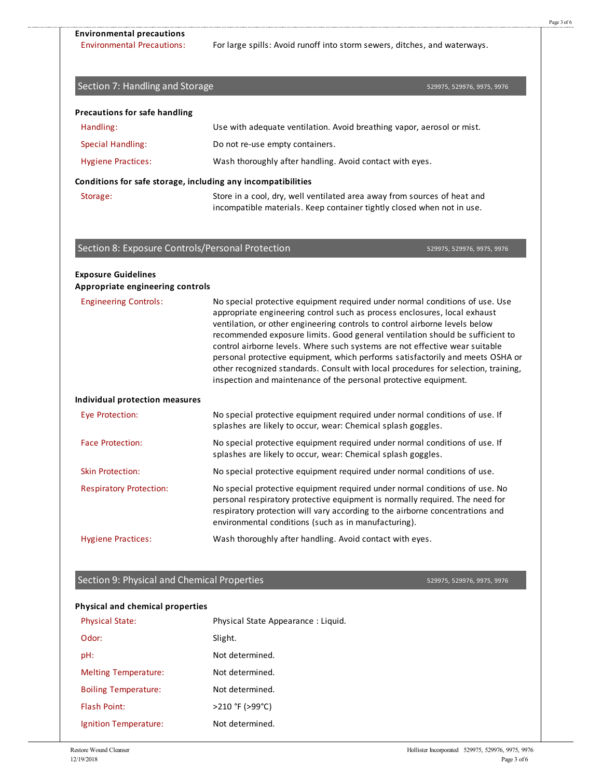Environmental Precautions: For large spills: Avoid runoff into storm sewers, ditches, and waterways.

# 529975, 529976, 9975, 9976 Handling: Use with adequate ventilation. Avoid breathing vapor, aerosol or mist. Special Handling: Do not re-use empty containers. Hygiene Practices: Wash thoroughly after handling. Avoid contact with eyes. Storage: Store in a cool, dry, well ventilated area away from sources of heat and incompatible materials. Keep container tightly closed when not in use. **Precautions for safe handling Conditions for safe storage, including any incompatibilities** 529975, 529976, 9975, 9976 Engineering Controls: No special protective equipment required under normal conditions of use. Use appropriate engineering control such as process enclosures, local exhaust ventilation, or other engineering controls to control airborne levels below recommended exposure limits. Good general ventilation should be sufficient to control airborne levels. Where such systems are not effective wear suitable personal protective equipment, which performs satisfactorily and meets OSHA or other recognized standards. Consult with local procedures for selection, training, inspection and maintenance of the personal protective equipment. Eye Protection: No special protective equipment required under normal conditions of use. If splashes are likely to occur, wear: Chemical splash goggles. Face Protection: No special protective equipment required under normal conditions of use. If splashes are likely to occur, wear: Chemical splash goggles. Skin Protection: No special protective equipment required under normal conditions of use. Respiratory Protection: No special protective equipment required under normal conditions of use. No personal respiratory protective equipment is normally required. The need for respiratory protection will vary according to the airborne concentrations and environmental conditions (such as in manufacturing). Hygiene Practices: Wash thoroughly after handling. Avoid contact with eyes. **Exposure Guidelines Appropriate engineering controls Individual protection measures** Section 7: Handling and Storage Section 8: Exposure Controls/Personal Protection

## Section 9: Physical and Chemical Properties

529975, 529976, 9975, 9976

#### **Physical and chemical properties**

| <b>Physical State:</b>      | Physical State Appearance: Liquid. |
|-----------------------------|------------------------------------|
| Odor:                       | Slight.                            |
| pH:                         | Not determined.                    |
| <b>Melting Temperature:</b> | Not determined.                    |
| <b>Boiling Temperature:</b> | Not determined.                    |
| <b>Flash Point:</b>         | >210 °F (>99°C)                    |
| Ignition Temperature:       | Not determined.                    |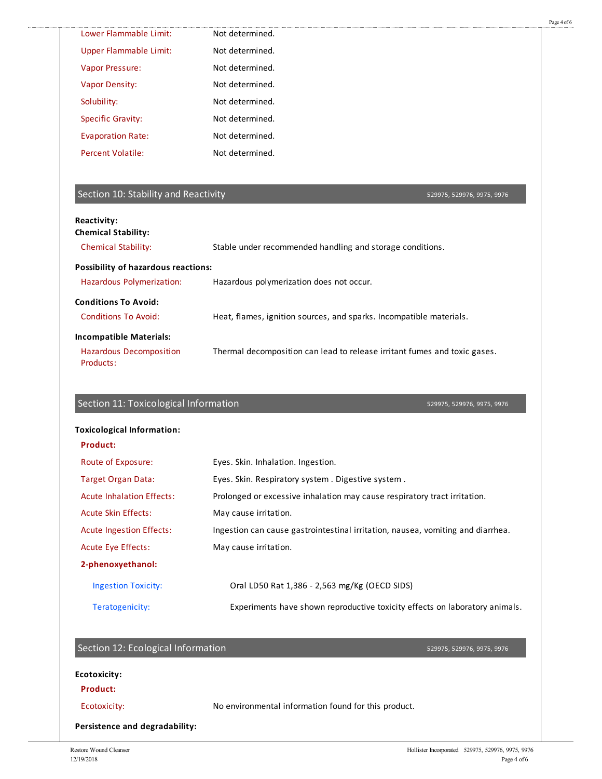|                                                                                                                        |                                                                                                         | Page 4 of 6 |
|------------------------------------------------------------------------------------------------------------------------|---------------------------------------------------------------------------------------------------------|-------------|
| Lower Flammable Limit:                                                                                                 | Not determined.                                                                                         |             |
| <b>Upper Flammable Limit:</b>                                                                                          | Not determined.                                                                                         |             |
| Vapor Pressure:                                                                                                        | Not determined.                                                                                         |             |
| <b>Vapor Density:</b>                                                                                                  | Not determined.                                                                                         |             |
| Solubility:                                                                                                            | Not determined.                                                                                         |             |
| <b>Specific Gravity:</b>                                                                                               | Not determined.                                                                                         |             |
| <b>Evaporation Rate:</b>                                                                                               | Not determined.                                                                                         |             |
| <b>Percent Volatile:</b>                                                                                               | Not determined.                                                                                         |             |
| Section 10: Stability and Reactivity                                                                                   | 529975, 529976, 9975, 9976                                                                              |             |
| <b>Reactivity:</b><br><b>Chemical Stability:</b>                                                                       |                                                                                                         |             |
| <b>Chemical Stability:</b>                                                                                             | Stable under recommended handling and storage conditions.                                               |             |
| <b>Possibility of hazardous reactions:</b>                                                                             |                                                                                                         |             |
| Hazardous Polymerization:                                                                                              | Hazardous polymerization does not occur.                                                                |             |
| <b>Conditions To Avoid:</b>                                                                                            |                                                                                                         |             |
| <b>Conditions To Avoid:</b>                                                                                            | Heat, flames, ignition sources, and sparks. Incompatible materials.                                     |             |
|                                                                                                                        |                                                                                                         |             |
|                                                                                                                        |                                                                                                         |             |
| <b>Incompatible Materials:</b><br><b>Hazardous Decomposition</b><br>Products:<br>Section 11: Toxicological Information | Thermal decomposition can lead to release irritant fumes and toxic gases.<br>529975, 529976, 9975, 9976 |             |
| <b>Toxicological Information:</b>                                                                                      |                                                                                                         |             |
| <b>Product:</b>                                                                                                        |                                                                                                         |             |
| Route of Exposure:                                                                                                     | Eyes. Skin. Inhalation. Ingestion.                                                                      |             |
| <b>Target Organ Data:</b>                                                                                              | Eyes. Skin. Respiratory system. Digestive system.                                                       |             |
| <b>Acute Inhalation Effects:</b>                                                                                       | Prolonged or excessive inhalation may cause respiratory tract irritation.                               |             |
| <b>Acute Skin Effects:</b>                                                                                             | May cause irritation.                                                                                   |             |
| <b>Acute Ingestion Effects:</b>                                                                                        | Ingestion can cause gastrointestinal irritation, nausea, vomiting and diarrhea.                         |             |
| Acute Eye Effects:                                                                                                     | May cause irritation.                                                                                   |             |
| 2-phenoxyethanol:                                                                                                      |                                                                                                         |             |
| <b>Ingestion Toxicity:</b>                                                                                             | Oral LD50 Rat 1,386 - 2,563 mg/Kg (OECD SIDS)                                                           |             |
| Teratogenicity:                                                                                                        | Experiments have shown reproductive toxicity effects on laboratory animals.                             |             |
| Section 12: Ecological Information                                                                                     | 529975, 529976, 9975, 9976                                                                              |             |
| <b>Ecotoxicity:</b>                                                                                                    |                                                                                                         |             |
| <b>Product:</b>                                                                                                        |                                                                                                         |             |
| Ecotoxicity:                                                                                                           | No environmental information found for this product.                                                    |             |

.........................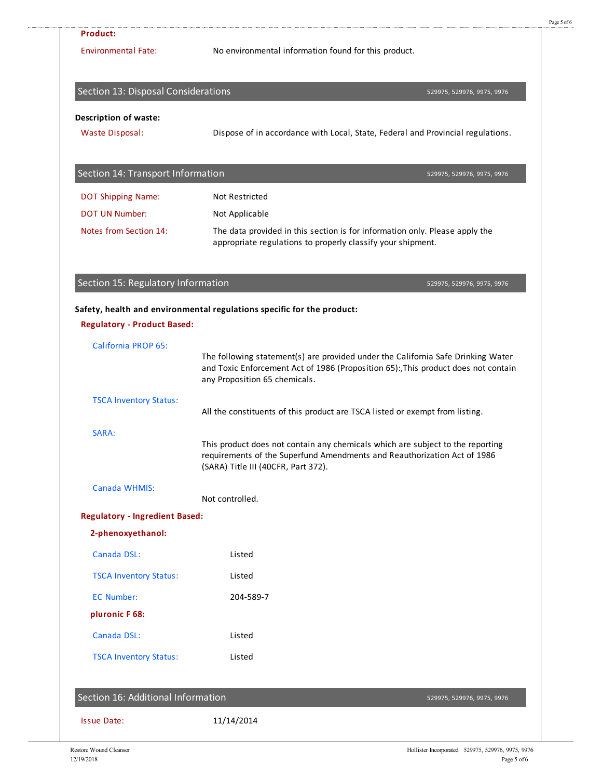| <b>Product:</b>                       |                                                                                                                                                                                                         |
|---------------------------------------|---------------------------------------------------------------------------------------------------------------------------------------------------------------------------------------------------------|
| <b>Environmental Fate:</b>            | No environmental information found for this product.                                                                                                                                                    |
| Section 13: Disposal Considerations   | 529975, 529976, 9975, 9976                                                                                                                                                                              |
| <b>Description of waste:</b>          |                                                                                                                                                                                                         |
| <b>Waste Disposal:</b>                | Dispose of in accordance with Local, State, Federal and Provincial regulations.                                                                                                                         |
| Section 14: Transport Information     | 529975, 529976, 9975, 9976                                                                                                                                                                              |
| <b>DOT Shipping Name:</b>             | <b>Not Restricted</b>                                                                                                                                                                                   |
| <b>DOT UN Number:</b>                 | Not Applicable                                                                                                                                                                                          |
| Notes from Section 14:                | The data provided in this section is for information only. Please apply the<br>appropriate regulations to properly classify your shipment.                                                              |
| Section 15: Regulatory Information    | 529975, 529976, 9975, 9976                                                                                                                                                                              |
|                                       | Safety, health and environmental regulations specific for the product:                                                                                                                                  |
| <b>Regulatory - Product Based:</b>    |                                                                                                                                                                                                         |
| <b>California PROP 65:</b>            |                                                                                                                                                                                                         |
|                                       | The following statement(s) are provided under the California Safe Drinking Water<br>and Toxic Enforcement Act of 1986 (Proposition 65):, This product does not contain<br>any Proposition 65 chemicals. |
| <b>TSCA Inventory Status:</b>         | All the constituents of this product are TSCA listed or exempt from listing.                                                                                                                            |
| SARA:                                 |                                                                                                                                                                                                         |
|                                       | This product does not contain any chemicals which are subject to the reporting<br>requirements of the Superfund Amendments and Reauthorization Act of 1986<br>(SARA) Title III (40CFR, Part 372).       |
| Canada WHMIS:                         | Not controlled.                                                                                                                                                                                         |
| <b>Regulatory - Ingredient Based:</b> |                                                                                                                                                                                                         |
| 2-phenoxyethanol:                     |                                                                                                                                                                                                         |
| Canada DSL:                           | Listed                                                                                                                                                                                                  |
| <b>TSCA Inventory Status:</b>         | Listed                                                                                                                                                                                                  |
| <b>EC Number:</b>                     | 204-589-7                                                                                                                                                                                               |
| pluronic F68:                         |                                                                                                                                                                                                         |
| Canada DSL:                           | Listed                                                                                                                                                                                                  |
| <b>TSCA Inventory Status:</b>         | Listed                                                                                                                                                                                                  |
| Section 16: Additional Information    | 529975, 529976, 9975, 9976                                                                                                                                                                              |
|                                       |                                                                                                                                                                                                         |
| <b>Issue Date:</b>                    | 11/14/2014                                                                                                                                                                                              |